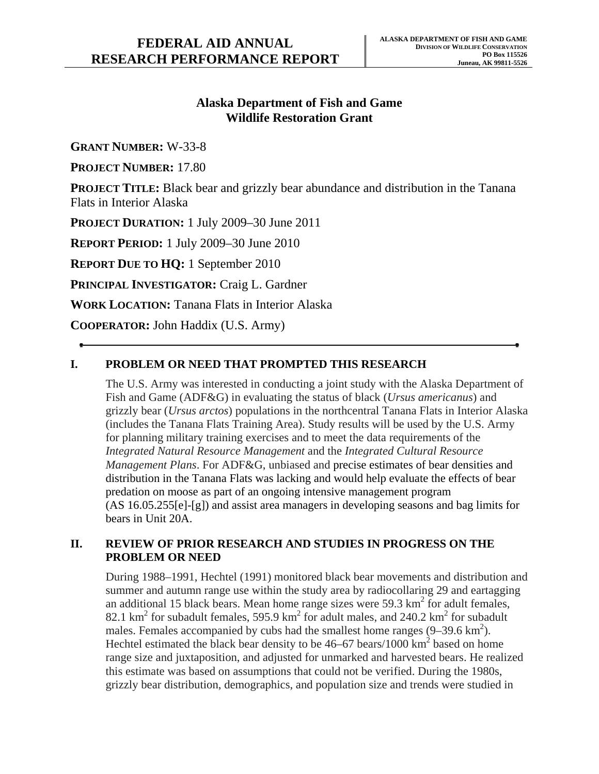# **Alaska Department of Fish and Game Wildlife Restoration Grant**

**GRANT NUMBER:** W-33-8

**PROJECT NUMBER:** 17.80

**PROJECT TITLE:** Black bear and grizzly bear abundance and distribution in the Tanana Flats in Interior Alaska

**PROJECT DURATION:** 1 July 2009–30 June 2011

**REPORT PERIOD:** 1 July 2009–30 June 2010

**REPORT DUE TO HQ:** 1 September 2010

**PRINCIPAL INVESTIGATOR:** Craig L. Gardner

**WORK LOCATION:** Tanana Flats in Interior Alaska

**COOPERATOR:** John Haddix (U.S. Army)

# **I. PROBLEM OR NEED THAT PROMPTED THIS RESEARCH**

The U.S. Army was interested in conducting a joint study with the Alaska Department of Fish and Game (ADF&G) in evaluating the status of black (*Ursus americanus*) and grizzly bear (*Ursus arctos*) populations in the northcentral Tanana Flats in Interior Alaska (includes the Tanana Flats Training Area). Study results will be used by the U.S. Army for planning military training exercises and to meet the data requirements of the *Integrated Natural Resource Management* and the *Integrated Cultural Resource Management Plans*. For ADF&G, unbiased and precise estimates of bear densities and distribution in the Tanana Flats was lacking and would help evaluate the effects of bear predation on moose as part of an ongoing intensive management program (AS 16.05.255[e]-[g]) and assist area managers in developing seasons and bag limits for bears in Unit 20A.

### **II. REVIEW OF PRIOR RESEARCH AND STUDIES IN PROGRESS ON THE PROBLEM OR NEED**

During 1988–1991, Hechtel (1991) monitored black bear movements and distribution and summer and autumn range use within the study area by radiocollaring 29 and eartagging an additional 15 black bears. Mean home range sizes were 59.3  $\text{km}^2$  for adult females, 82.1  $\text{km}^2$  for subadult females, 595.9  $\text{km}^2$  for adult males, and 240.2  $\text{km}^2$  for subadult males. Females accompanied by cubs had the smallest home ranges  $(9-39.6 \text{ km}^2)$ . Hechtel estimated the black bear density to be  $46-67$  bears/1000 km<sup>2</sup> based on home range size and juxtaposition, and adjusted for unmarked and harvested bears. He realized this estimate was based on assumptions that could not be verified. During the 1980s, grizzly bear distribution, demographics, and population size and trends were studied in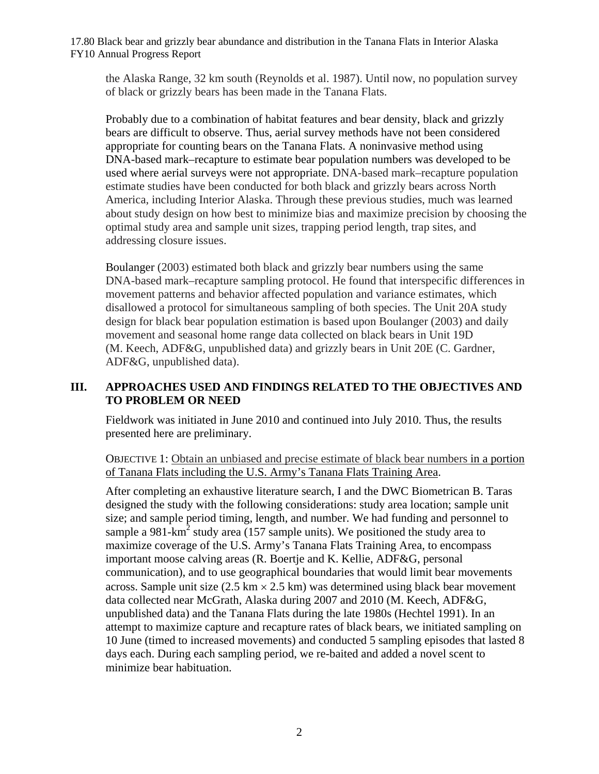17.80 Black bear and grizzly bear abundance and distribution in the Tanana Flats in Interior Alaska FY10 Annual Progress Report

the Alaska Range, 32 km south (Reynolds et al. 1987). Until now, no population survey of black or grizzly bears has been made in the Tanana Flats.

Probably due to a combination of habitat features and bear density, black and grizzly bears are difficult to observe. Thus, aerial survey methods have not been considered appropriate for counting bears on the Tanana Flats. A noninvasive method using DNA-based mark–recapture to estimate bear population numbers was developed to be used where aerial surveys were not appropriate. DNA-based mark–recapture population estimate studies have been conducted for both black and grizzly bears across North America, including Interior Alaska. Through these previous studies, much was learned about study design on how best to minimize bias and maximize precision by choosing the optimal study area and sample unit sizes, trapping period length, trap sites, and addressing closure issues.

Boulanger (2003) estimated both black and grizzly bear numbers using the same DNA-based mark–recapture sampling protocol. He found that interspecific differences in movement patterns and behavior affected population and variance estimates, which disallowed a protocol for simultaneous sampling of both species. The Unit 20A study design for black bear population estimation is based upon Boulanger (2003) and daily movement and seasonal home range data collected on black bears in Unit 19D (M. Keech, ADF&G, unpublished data) and grizzly bears in Unit 20E (C. Gardner, ADF&G, unpublished data).

### **III. APPROACHES USED AND FINDINGS RELATED TO THE OBJECTIVES AND TO PROBLEM OR NEED**

Fieldwork was initiated in June 2010 and continued into July 2010. Thus, the results presented here are preliminary.

OBJECTIVE 1: Obtain an unbiased and precise estimate of black bear numbers in a portion of Tanana Flats including the U.S. Army's Tanana Flats Training Area.

After completing an exhaustive literature search, I and the DWC Biometrican B. Taras designed the study with the following considerations: study area location; sample unit size; and sample period timing, length, and number. We had funding and personnel to sample a 981-km<sup>2</sup> study area (157 sample units). We positioned the study area to maximize coverage of the U.S. Army's Tanana Flats Training Area, to encompass important moose calving areas (R. Boertje and K. Kellie, ADF&G, personal communication), and to use geographical boundaries that would limit bear movements across. Sample unit size  $(2.5 \text{ km} \times 2.5 \text{ km})$  was determined using black bear movement data collected near McGrath, Alaska during 2007 and 2010 (M. Keech, ADF&G, unpublished data) and the Tanana Flats during the late 1980s (Hechtel 1991). In an attempt to maximize capture and recapture rates of black bears, we initiated sampling on 10 June (timed to increased movements) and conducted 5 sampling episodes that lasted 8 days each. During each sampling period, we re-baited and added a novel scent to minimize bear habituation.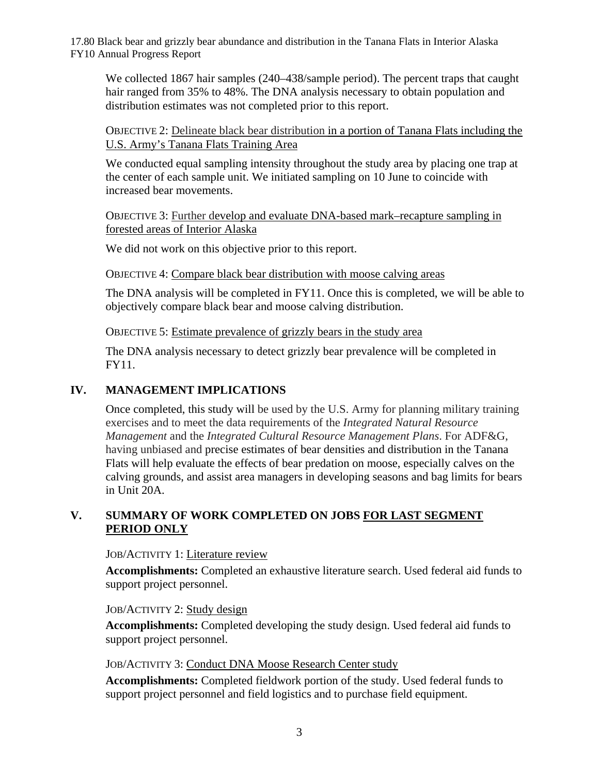17.80 Black bear and grizzly bear abundance and distribution in the Tanana Flats in Interior Alaska FY10 Annual Progress Report

We collected 1867 hair samples (240–438/sample period). The percent traps that caught hair ranged from 35% to 48%. The DNA analysis necessary to obtain population and distribution estimates was not completed prior to this report.

#### OBJECTIVE 2: Delineate black bear distribution in a portion of Tanana Flats including the U.S. Army's Tanana Flats Training Area

We conducted equal sampling intensity throughout the study area by placing one trap at the center of each sample unit. We initiated sampling on 10 June to coincide with increased bear movements.

OBJECTIVE 3: Further develop and evaluate DNA-based mark–recapture sampling in forested areas of Interior Alaska

We did not work on this objective prior to this report.

OBJECTIVE 4: Compare black bear distribution with moose calving areas

The DNA analysis will be completed in FY11. Once this is completed, we will be able to objectively compare black bear and moose calving distribution.

OBJECTIVE 5: Estimate prevalence of grizzly bears in the study area

The DNA analysis necessary to detect grizzly bear prevalence will be completed in FY11.

### **IV. MANAGEMENT IMPLICATIONS**

Once completed, this study will be used by the U.S. Army for planning military training exercises and to meet the data requirements of the *Integrated Natural Resource Management* and the *Integrated Cultural Resource Management Plans*. For ADF&G, having unbiased and precise estimates of bear densities and distribution in the Tanana Flats will help evaluate the effects of bear predation on moose, especially calves on the calving grounds, and assist area managers in developing seasons and bag limits for bears in Unit 20A.

### **V. SUMMARY OF WORK COMPLETED ON JOBS FOR LAST SEGMENT PERIOD ONLY**

JOB/ACTIVITY 1: Literature review

**Accomplishments:** Completed an exhaustive literature search. Used federal aid funds to support project personnel.

#### JOB/ACTIVITY 2: Study design

**Accomplishments:** Completed developing the study design. Used federal aid funds to support project personnel.

#### JOB/ACTIVITY 3: Conduct DNA Moose Research Center study

**Accomplishments:** Completed fieldwork portion of the study. Used federal funds to support project personnel and field logistics and to purchase field equipment.